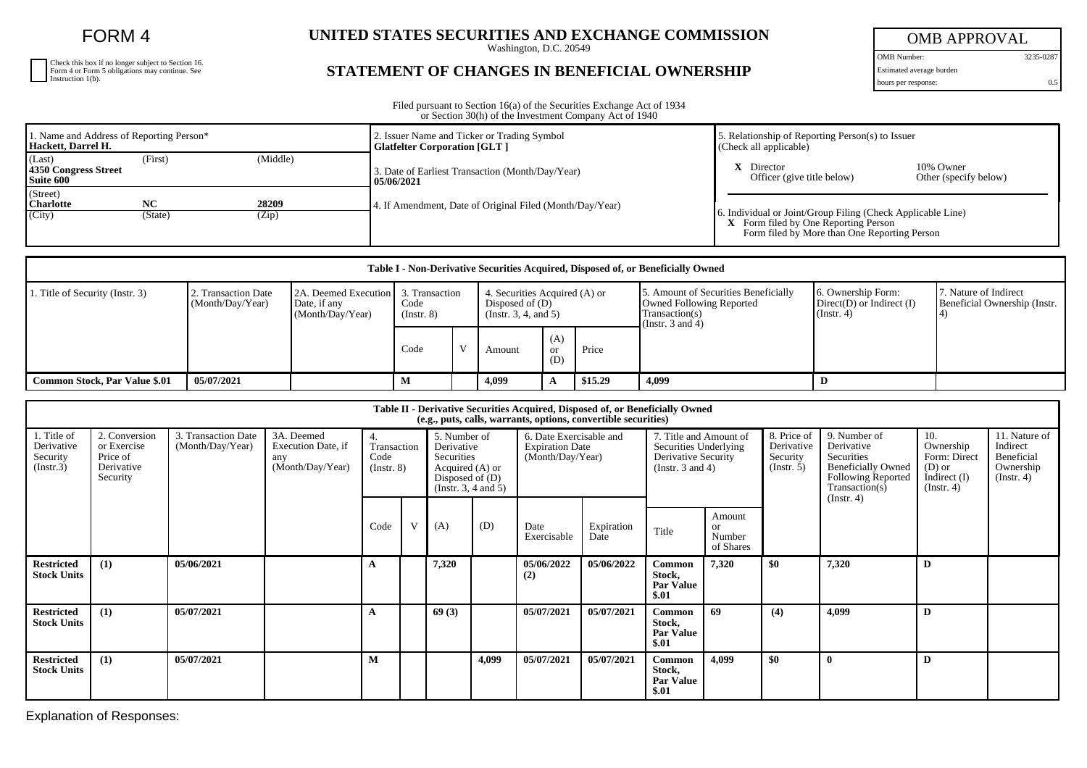FORM 4

| Check this box if no longer subject to Section 16.<br>Form 4 or Form 5 obligations may continue. See Instruction 1(b). |
|------------------------------------------------------------------------------------------------------------------------|
|                                                                                                                        |
|                                                                                                                        |

## UNITED STATES SECURITIES AND EXCHANGE COMMISSION

## **STATEMENT OF CHANGES IN BENEFICIAL OWNERSHIP**

OMB APPROVAL

OMB Number: 3235-0287 Estimated average burden

hours per response: 0.5

Filed pursuant to Section 16(a) of the Securities Exchange Act of 1934 or Section 30(h) of the Investment Company Act of 1940

| 1. Name and Address of Reporting Person*<br>Hackett, Darrel H.     |                                 |  | 2. Issuer Name and Ticker or Trading Symbol<br><b>Glatfelter Corporation [GLT ]</b> | 5. Relationship of Reporting Person(s) to Issuer<br>(Check all applicable)                                                                          |  |  |  |
|--------------------------------------------------------------------|---------------------------------|--|-------------------------------------------------------------------------------------|-----------------------------------------------------------------------------------------------------------------------------------------------------|--|--|--|
| (Last)<br>(Middle)<br>(First)<br>4350 Congress Street<br>Suite 600 |                                 |  | 3. Date of Earliest Transaction (Month/Day/Year)<br>105/06/2021                     | <b>X</b> Director<br>10% Owner<br>Officer (give title below)<br>Other (specify below)                                                               |  |  |  |
| (Street)<br><b>Charlotte</b><br>(City)                             | 28209<br>NC<br>(Zip)<br>(State) |  | 4. If Amendment, Date of Original Filed (Month/Day/Year)                            | 6. Individual or Joint/Group Filing (Check Applicable Line)<br>X Form filed by One Reporting Person<br>Form filed by More than One Reporting Person |  |  |  |

| Table I - Non-Derivative Securities Acquired, Disposed of, or Beneficially Owned |                                         |                                                                           |                     |  |                                                                          |                         |         |                                                                                                            |                                                                      |                                                       |
|----------------------------------------------------------------------------------|-----------------------------------------|---------------------------------------------------------------------------|---------------------|--|--------------------------------------------------------------------------|-------------------------|---------|------------------------------------------------------------------------------------------------------------|----------------------------------------------------------------------|-------------------------------------------------------|
| . Title of Security (Instr. 3)                                                   | 2. Transaction Date<br>(Month/Day/Year) | 2A. Deemed Execution 1 3. Transaction<br>Date, if any<br>(Month/Day/Year) | Code<br>(Insert. 8) |  | 4. Securities Acquired (A) or<br>Disposed of (D)<br>(Instr. 3, 4, and 5) |                         |         | . Amount of Securities Beneficially<br>Owned Following Reported<br>Transaction(s)<br>(Instr. $3$ and $4$ ) | 6. Ownership Form:<br>$Direct(D)$ or Indirect $(I)$<br>$($ Instr. 4) | 7. Nature of Indirect<br>Beneficial Ownership (Instr. |
|                                                                                  |                                         |                                                                           | Code                |  | Amount                                                                   | (A)<br><b>or</b><br>(D) | Price   |                                                                                                            |                                                                      |                                                       |
| Common Stock, Par Value \$.01                                                    | 05/07/2021                              |                                                                           | м                   |  | 4,099                                                                    |                         | \$15.29 | 4,099                                                                                                      |                                                                      |                                                       |

| Table II - Derivative Securities Acquired, Disposed of, or Beneficially Owned<br>(e.g., puts, calls, warrants, options, convertible securities) |                                                                    |                                         |                                                             |                                              |   |                                                                                                                                                                                   |       |                     |                                                                                                 |                                                      |                                                     |                                                                                                                             |                                                                                    |                                                                          |  |
|-------------------------------------------------------------------------------------------------------------------------------------------------|--------------------------------------------------------------------|-----------------------------------------|-------------------------------------------------------------|----------------------------------------------|---|-----------------------------------------------------------------------------------------------------------------------------------------------------------------------------------|-------|---------------------|-------------------------------------------------------------------------------------------------|------------------------------------------------------|-----------------------------------------------------|-----------------------------------------------------------------------------------------------------------------------------|------------------------------------------------------------------------------------|--------------------------------------------------------------------------|--|
| 1. Title of<br>Derivative<br>Security<br>(Insert.3)                                                                                             | 2. Conversion<br>or Exercise<br>Price of<br>Derivative<br>Security | 3. Transaction Date<br>(Month/Day/Year) | 3A. Deemed<br>Execution Date, if<br>any<br>(Month/Day/Year) | 4.<br>Transaction<br>Code<br>$($ Instr. $8)$ |   | 6. Date Exercisable and<br>5. Number of<br>Derivative<br><b>Expiration Date</b><br>Securities<br>(Month/Day/Year)<br>Acquired (A) or<br>Disposed of $(D)$<br>(Insert. 3, 4 and 5) |       |                     | 7. Title and Amount of<br>Securities Underlying<br>Derivative Security<br>(Instr. $3$ and $4$ ) |                                                      | 8. Price of<br>Derivative<br>Security<br>(Instr. 5) | 9. Number of<br>Derivative<br>Securities<br><b>Beneficially Owned</b><br>Following Reported<br>Transaction(s)<br>(Instr. 4) | 10.<br>Ownership<br>Form: Direct<br>$(D)$ or<br>Indirect $(I)$<br>$($ Instr. 4 $)$ | 11. Nature of<br>Indirect<br>Beneficial<br>Ownership<br>$($ Instr. 4 $)$ |  |
|                                                                                                                                                 |                                                                    |                                         |                                                             | Code                                         | V | (A)                                                                                                                                                                               | (D)   | Date<br>Exercisable | Expiration<br>Date                                                                              | Title                                                | Amount<br><sub>or</sub><br>Number<br>of Shares      |                                                                                                                             |                                                                                    |                                                                          |  |
| <b>Restricted</b><br><b>Stock Units</b>                                                                                                         | (1)                                                                | 05/06/2021                              |                                                             |                                              |   | 7,320                                                                                                                                                                             |       | 05/06/2022<br>(2)   | 05/06/2022                                                                                      | <b>Common</b><br>Stock,<br><b>Par Value</b><br>\$.01 | 7,320                                               | \$0                                                                                                                         | 7,320                                                                              | D                                                                        |  |
| <b>Restricted</b><br><b>Stock Units</b>                                                                                                         | (1)                                                                | 05/07/2021                              |                                                             |                                              |   | 69(3)                                                                                                                                                                             |       | 05/07/2021          | 05/07/2021                                                                                      | Common<br>Stock,<br><b>Par Value</b><br>\$.01        | 69                                                  | (4)                                                                                                                         | 4.099                                                                              | D                                                                        |  |
| <b>Restricted</b><br><b>Stock Units</b>                                                                                                         | (1)                                                                | 05/07/2021                              |                                                             | М                                            |   |                                                                                                                                                                                   | 4,099 | 05/07/2021          | 05/07/2021                                                                                      | Common<br>Stock,<br><b>Par Value</b><br>\$.01        | 4,099                                               | \$0                                                                                                                         |                                                                                    | D                                                                        |  |

Explanation of Responses: